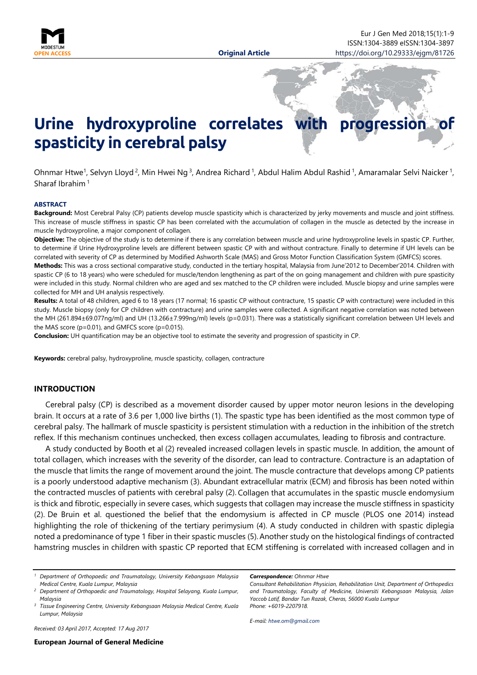

# Urine hydroxyproline correlates with progression **spasticity in cerebral palsy**

Ohnmar Htwe<sup>1</sup>, Selvyn Lloyd<sup>2</sup>, Min Hwei Ng<sup>3</sup>, Andrea Richard <sup>1</sup>, Abdul Halim Abdul Rashid <sup>1</sup>, Amaramalar Selvi Naicker <sup>1</sup>, Sharaf Ibrahim <sup>1</sup>

#### <span id="page-0-0"></span>**ABSTRACT**

**Background:** Most Cerebral Palsy (CP) patients develop muscle spasticity which is characterized by jerky movements and muscle and joint stiffness. This increase of muscle stiffness in spastic CP has been correlated with the accumulation of collagen in the muscle as detected by the increase in muscle hydroxyproline, a major component of collagen.

**Objective:** The objective of the study is to determine if there is any correlation between muscle and urine hydroxyproline levels in spastic CP. Further, to determine if Urine Hydroxyproline levels are different between spastic CP with and without contracture. Finally to determine if UH levels can be correlated with severity of CP as determined by Modified Ashworth Scale (MAS) and Gross Motor Function Classification System (GMFCS) scores.

**Methods:** This was a cross sectional comparative study, conducted in the tertiary hospital, Malaysia from June'2012 to December'2014. Children with spastic CP (6 to 18 years) who were scheduled for muscle/tendon lengthening as part of the on going management and children with pure spasticity were included in this study. Normal children who are aged and sex matched to the CP children were included. Muscle biopsy and urine samples were collected for MH and UH analysis respectively.

**Results:** A total of 48 children, aged 6 to 18 years (17 normal; 16 spastic CP without contracture, 15 spastic CP with contracture) were included in this study. Muscle biopsy (only for CP children with contracture) and urine samples were collected. A significant negative correlation was noted between the MH (261.894±69.077ng/ml) and UH (13.266±7.999ng/ml) levels (p=0.031). There was a statistically significant correlation between UH levels and the MAS score (p=0.01), and GMFCS score (p=0.015).

**Conclusion:** UH quantification may be an objective tool to estimate the severity and progression of spasticity in CP.

**Keywords:** cerebral palsy, hydroxyproline, muscle spasticity, collagen, contracture

# **INTRODUCTION**

Cerebral palsy (CP) is described as a movement disorder caused by upper motor neuron lesions in the developing brain. It occurs at a rate of 3.6 per 1,000 live births (1). The spastic type has been identified as the most common type of cerebral palsy. The hallmark of muscle spasticity is persistent stimulation with a reduction in the inhibition of the stretch reflex. If this mechanism continues unchecked, then excess collagen accumulates, leading to fibrosis and contracture.

A study conducted by Booth et al (2) revealed increased collagen levels in spastic muscle. In addition, the amount of total collagen, which increases with the severity of the disorder, can lead to contracture. Contracture is an adaptation of the muscle that limits the range of movement around the joint. The muscle contracture that develops among CP patients is a poorly understood adaptive mechanism (3). Abundant extracellular matrix (ECM) and fibrosis has been noted within the contracted muscles of patients with cerebral palsy (2). Collagen that accumulates in the spastic muscle endomysium is thick and fibrotic, especially in severe cases, which suggests that collagen may increase the muscle stiffness in spasticity (2). De Bruin et al. questioned the belief that the endomysium is affected in CP muscle (PLOS one 2014) instead highlighting the role of thickening of the tertiary perimysium (4). A study conducted in children with spastic diplegia noted a predominance of type 1 fiber in their spastic muscles (5).Another study on the histological findings of contracted hamstring muscles in children with spastic CP reported that ECM stiffening is correlated with increased collagen and in

*Received: 03 April 2017, Accepted: 17 Aug 2017*

*E-mail: [htwe.om@gmail.com](mailto:htwe.om@gmail.com)*

*Correspondence: Ohnmar Htwe*

*Consultant Rehabilitation Physician, Rehabilitation Unit, Department of Orthopedics and Traumatology, Faculty of Medicine, Universiti Kebangsaan Malaysia, Jalan Yaccob Latif, Bandar Tun Razak, Cheras, 56000 Kuala Lumpur Phone: +6019-2207918.*

*<sup>1</sup> Department of Orthopaedic and Traumatology, University Kebangsaan Malaysia Medical Centre, Kuala Lumpur, Malaysia*

*<sup>2</sup> Department of Orthopaedic and Traumatology, Hospital Selayang, Kuala Lumpur, Malaysia*

*<sup>3</sup> Tissue Engineering Centre, University Kebangsaan Malaysia Medical Centre, Kuala Lumpur, Malaysia*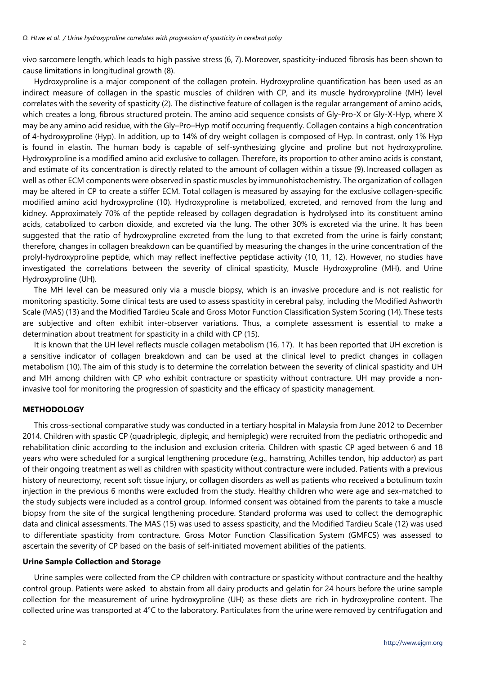vivo sarcomere length, which leads to high passive stress (6, 7). Moreover, spasticity-induced fibrosis has been shown to cause limitations in longitudinal growth (8).

Hydroxyproline is a major component of the collagen protein. Hydroxyproline quantification has been used as an indirect measure of collagen in the spastic muscles of children with CP, and its muscle hydroxyproline (MH) level correlates with the severity of spasticity (2). The distinctive feature of collagen is the regular arrangement of amino acids, which creates a long, fibrous structured protein. The amino acid sequence consists of Gly-Pro-X or Gly-X-Hyp, where X may be any amino acid residue, with the Gly–Pro–Hyp motif occurring frequently. Collagen contains a high concentration of 4-hydroxyproline (Hyp). In addition, up to 14% of dry weight collagen is composed of Hyp. In contrast, only 1% Hyp is found in elastin. The human body is capable of self-synthesizing glycine and proline but not hydroxyproline. Hydroxyproline is a modified amino acid exclusive to collagen. Therefore, its proportion to other amino acids is constant, and estimate of its concentration is directly related to the amount of collagen within a tissue (9). Increased collagen as well as other ECM components were observed in spastic muscles by immunohistochemistry. The organization of collagen may be altered in CP to create a stiffer ECM. Total collagen is measured by assaying for the exclusive collagen-specific modified amino acid hydroxyproline (10). Hydroxyproline is metabolized, excreted, and removed from the lung and kidney. Approximately 70% of the peptide released by collagen degradation is hydrolysed into its constituent amino acids, catabolized to carbon dioxide, and excreted via the lung. The other 30% is excreted via the urine. It has been suggested that the ratio of hydroxyproline excreted from the lung to that excreted from the urine is fairly constant; therefore, changes in collagen breakdown can be quantified by measuring the changes in the urine concentration of the prolyl-hydroxyproline peptide, which may reflect ineffective peptidase activity (10, 11, 12). However, no studies have investigated the correlations between the severity of clinical spasticity, Muscle Hydroxyproline (MH), and Urine Hydroxyproline (UH).

The MH level can be measured only via a muscle biopsy, which is an invasive procedure and is not realistic for monitoring spasticity. Some clinical tests are used to assess spasticity in cerebral palsy, including the Modified Ashworth Scale (MAS) (13) and the Modified Tardieu Scale and Gross Motor Function Classification System Scoring (14). These tests are subjective and often exhibit inter-observer variations. Thus, a complete assessment is essential to make a determination about treatment for spasticity in a child with CP (15).

It is known that the UH level reflects muscle collagen metabolism (16, 17). It has been reported that UH excretion is a sensitive indicator of collagen breakdown and can be used at the clinical level to predict changes in collagen metabolism (10). The aim of this study is to determine the correlation between the severity of clinical spasticity and UH and MH among children with CP who exhibit contracture or spasticity without contracture. UH may provide a noninvasive tool for monitoring the progression of spasticity and the efficacy of spasticity management.

# **METHODOLOGY**

This cross-sectional comparative study was conducted in a tertiary hospital in Malaysia from June 2012 to December 2014. Children with spastic CP (quadriplegic, diplegic, and hemiplegic) were recruited from the pediatric orthopedic and rehabilitation clinic according to the inclusion and exclusion criteria. Children with spastic CP aged between 6 and 18 years who were scheduled for a surgical lengthening procedure (e.g., hamstring, Achilles tendon, hip adductor) as part of their ongoing treatment as well as children with spasticity without contracture were included. Patients with a previous history of neurectomy, recent soft tissue injury, or collagen disorders as well as patients who received a botulinum toxin injection in the previous 6 months were excluded from the study. Healthy children who were age and sex-matched to the study subjects were included as a control group. Informed consent was obtained from the parents to take a muscle biopsy from the site of the surgical lengthening procedure. Standard proforma was used to collect the demographic data and clinical assessments. The MAS (15) was used to assess spasticity, and the Modified Tardieu Scale (12) was used to differentiate spasticity from contracture. Gross Motor Function Classification System (GMFCS) was assessed to ascertain the severity of CP based on the basis of self-initiated movement abilities of the patients.

# **Urine Sample Collection and Storage**

Urine samples were collected from the CP children with contracture or spasticity without contracture and the healthy control group. Patients were asked to abstain from all dairy products and gelatin for 24 hours before the urine sample collection for the measurement of urine hydroxyproline (UH) as these diets are rich in hydroxyproline content. The collected urine was transported at 4°C to the laboratory. Particulates from the urine were removed by centrifugation and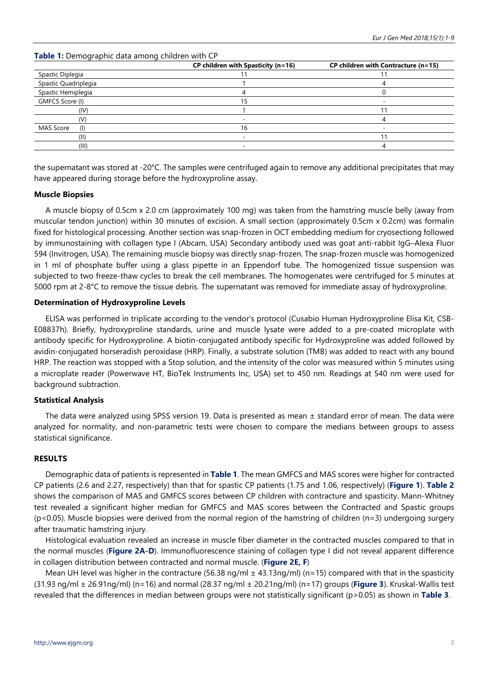|                         | CP children with Spasticity (n=16) | CP children with Contracture (n=15) |  |  |
|-------------------------|------------------------------------|-------------------------------------|--|--|
| Spastic Diplegia        |                                    |                                     |  |  |
| Spastic Quadriplegia    |                                    |                                     |  |  |
| Spastic Hemiplegia      |                                    |                                     |  |  |
| GMFCS Score (I)         | 15                                 |                                     |  |  |
| (IV)                    |                                    |                                     |  |  |
| (V)                     | -                                  |                                     |  |  |
| <b>MAS Score</b><br>(1) | 16                                 |                                     |  |  |
| (II)                    |                                    |                                     |  |  |
| (III)                   | -                                  |                                     |  |  |

the supernatant was stored at -20°C. The samples were centrifuged again to remove any additional precipitates that may have appeared during storage before the hydroxyproline assay.

# **Muscle Biopsies**

A muscle biopsy of 0.5cm x 2.0 cm (approximately 100 mg) was taken from the hamstring muscle belly (away from muscular tendon junction) within 30 minutes of excision. A small section (approximately 0.5cm x 0.2cm) was formalin fixed for histological processing. Another section was snap-frozen in OCT embedding medium for cryosectiong followed by immunostaining with collagen type I (Abcam, USA) Secondary antibody used was goat anti-rabbit IgG–Alexa Fluor 594 (Invitrogen, USA). The remaining muscle biopsy was directly snap-frozen. The snap-frozen muscle was homogenized in 1 ml of phosphate buffer using a glass pipette in an Eppendorf tube. The homogenized tissue suspension was subjected to two freeze-thaw cycles to break the cell membranes. The homogenates were centrifuged for 5 minutes at 5000 rpm at 2-8°C to remove the tissue debris. The supernatant was removed for immediate assay of hydroxyproline.

## **Determination of Hydroxyproline Levels**

ELISA was performed in triplicate according to the vendor's protocol (Cusabio Human Hydroxyproline Elisa Kit, CSB-E08837h). Briefly, hydroxyproline standards, urine and muscle lysate were added to a pre-coated microplate with antibody specific for Hydroxyproline. A biotin-conjugated antibody specific for Hydroxyproline was added followed by avidin-conjugated horseradish peroxidase (HRP). Finally, a substrate solution (TMB) was added to react with any bound HRP. The reaction was stopped with a Stop solution, and the intensity of the color was measured within 5 minutes using a microplate reader (Powerwave HT, BioTek Instruments Inc, USA) set to 450 nm. Readings at 540 nm were used for background subtraction.

# **Statistical Analysis**

The data were analyzed using SPSS version 19. Data is presented as mean ± standard error of mean. The data were analyzed for normality, and non-parametric tests were chosen to compare the medians between groups to assess statistical significance.

# **RESULTS**

Demographic data of patients is represented in **Table 1**. The mean GMFCS and MAS scores were higher for contracted CP patients (2.6 and 2.27, respectively) than that for spastic CP patients (1.75 and 1.06, respectively) (**Figure 1**). **Table 2** shows the comparison of MAS and GMFCS scores between CP children with contracture and spasticity. Mann-Whitney test revealed a significant higher median for GMFCS and MAS scores between the Contracted and Spastic groups (p<0.05). Muscle biopsies were derived from the normal region of the hamstring of children (n=3) undergoing surgery after traumatic hamstring injury.

Histological evaluation revealed an increase in muscle fiber diameter in the contracted muscles compared to that in the normal muscles (**Figure 2A-D**). Immunofluorescence staining of collagen type I did not reveal apparent difference in collagen distribution between contracted and normal muscle. (**Figure 2E, F**)

Mean UH level was higher in the contracture (56.38 ng/ml  $\pm$  43.13ng/ml) (n=15) compared with that in the spasticity (31.93 ng/ml ± 26.91ng/ml) (n=16) and normal (28.37 ng/ml ± 20.21ng/ml) (n=17) groups (**Figure 3**). Kruskal-Wallis test revealed that the differences in median between groups were not statistically significant (p>0.05) as shown in **Table 3**.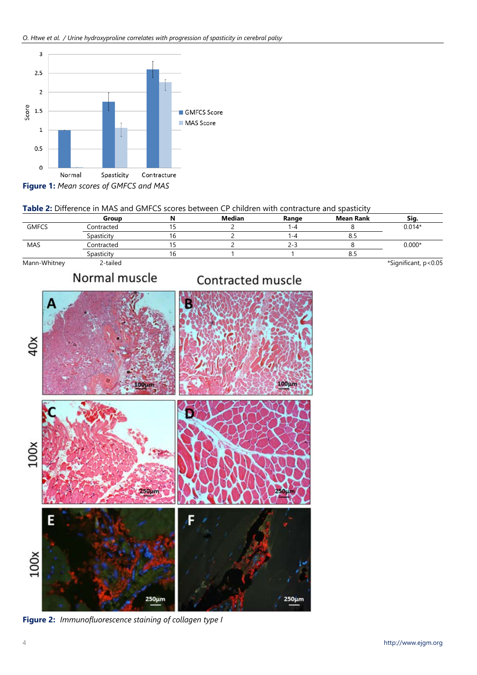

# **Table 2:** Difference in MAS and GMFCS scores between CP children with contracture and spasticity

|              | Group      | Median | Range | <b>Mean Rank</b> | Sig.     |
|--------------|------------|--------|-------|------------------|----------|
| <b>GMFCS</b> | Contracted |        | ∣ –4  |                  | $0.014*$ |
|              | Spasticity |        | -4    | o.:              |          |
| MAS          | Contracted |        | 2-3   |                  | $0.000*$ |
|              | Spasticity |        |       | o.s              |          |

Mann-Whitney 2-tailed \*Significant, p<0.05

# Normal muscle

# Contracted muscle



**Figure 2:** *Immunofluorescence staining of collagen type I*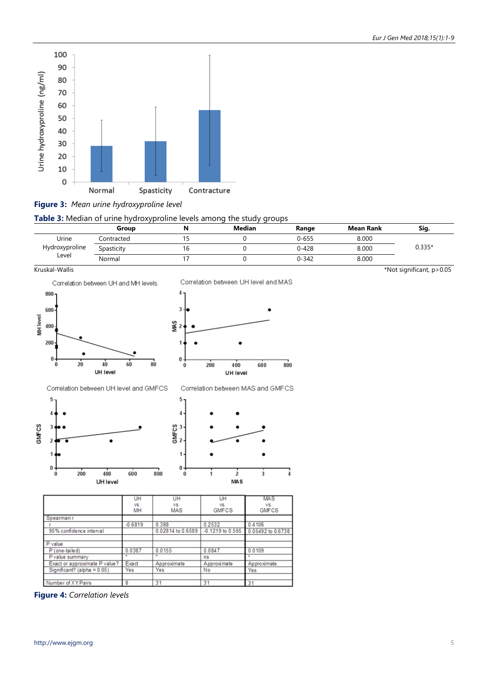

**Figure 3:** *Mean urine hydroxyproline level*

**Table 3:** Median of urine hydroxyproline levels among the study groups

|                | Group      | Median | Range     | <b>Mean Rank</b> | Sig.     |
|----------------|------------|--------|-----------|------------------|----------|
| Urine          | Contracted |        | $0 - 655$ | 8.000            |          |
| Hydroxyproline | Spasticity |        | $0 - 428$ | 8.000            | $0.335*$ |
| Level          | Normal     |        | $0 - 342$ | 8.000            |          |



UH level

|     |        |     | Correlation between UH level and MAS |     |     |
|-----|--------|-----|--------------------------------------|-----|-----|
| MAS | 3<br>2 |     |                                      |     |     |
|     | 0<br>0 | 200 | 400<br>UH level                      | 600 | 800 |
|     |        |     | Correlation between MAS and GMFCS    |     |     |
|     | 5      |     |                                      |     |     |

 $\dot{2}$ 

**MAS** 

7

 $\frac{1}{3}$ 

Kruskal-Wallis \*Not significant, p>0.05



**Figure 4:** *Correlation levels*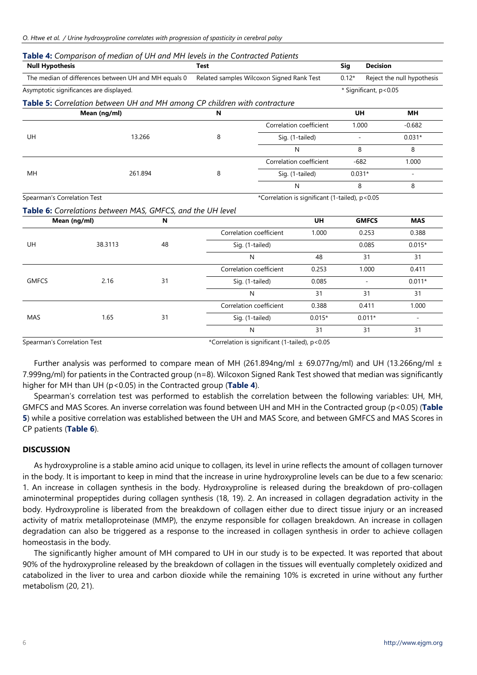| <b>Null Hypothesis</b>                                                                            |         |                                                                                                                                                                                                                                                                                                                                                                                                    | <b>Test</b>                                                |                                                                           |                                                                              | <b>Decision</b>            |                                                                                                                                                                                               |
|---------------------------------------------------------------------------------------------------|---------|----------------------------------------------------------------------------------------------------------------------------------------------------------------------------------------------------------------------------------------------------------------------------------------------------------------------------------------------------------------------------------------------------|------------------------------------------------------------|---------------------------------------------------------------------------|------------------------------------------------------------------------------|----------------------------|-----------------------------------------------------------------------------------------------------------------------------------------------------------------------------------------------|
| The median of differences between UH and MH equals 0<br>Related samples Wilcoxon Signed Rank Test |         |                                                                                                                                                                                                                                                                                                                                                                                                    |                                                            | $0.12*$                                                                   |                                                                              | Reject the null hypothesis |                                                                                                                                                                                               |
| Asymptotic significances are displayed.                                                           |         |                                                                                                                                                                                                                                                                                                                                                                                                    |                                                            |                                                                           |                                                                              |                            |                                                                                                                                                                                               |
|                                                                                                   |         |                                                                                                                                                                                                                                                                                                                                                                                                    |                                                            |                                                                           |                                                                              |                            |                                                                                                                                                                                               |
| Mean (ng/ml)                                                                                      |         | Sig<br>N<br>Correlation coefficient<br>8<br>Sig. (1-tailed)<br>N<br>Correlation coefficient<br>8<br>Sig. (1-tailed)<br>$\mathsf{N}$<br><b>UH</b><br>N<br>Correlation coefficient<br>1.000<br>48<br>Sig. (1-tailed)<br>N<br>48<br>Correlation coefficient<br>0.253<br>31<br>Sig. (1-tailed)<br>0.085<br>31<br>N<br>Correlation coefficient<br>0.388<br>31<br>Sig. (1-tailed)<br>$0.015*$<br>31<br>N |                                                            |                                                                           |                                                                              | <b>MH</b>                  |                                                                                                                                                                                               |
|                                                                                                   |         |                                                                                                                                                                                                                                                                                                                                                                                                    |                                                            |                                                                           |                                                                              |                            | $-0.682$                                                                                                                                                                                      |
|                                                                                                   |         |                                                                                                                                                                                                                                                                                                                                                                                                    |                                                            |                                                                           |                                                                              |                            | $0.031*$                                                                                                                                                                                      |
|                                                                                                   |         |                                                                                                                                                                                                                                                                                                                                                                                                    |                                                            |                                                                           |                                                                              |                            | 8                                                                                                                                                                                             |
|                                                                                                   |         |                                                                                                                                                                                                                                                                                                                                                                                                    |                                                            |                                                                           |                                                                              |                            | 1.000                                                                                                                                                                                         |
|                                                                                                   | 261.894 |                                                                                                                                                                                                                                                                                                                                                                                                    |                                                            |                                                                           |                                                                              |                            |                                                                                                                                                                                               |
|                                                                                                   |         |                                                                                                                                                                                                                                                                                                                                                                                                    |                                                            |                                                                           |                                                                              |                            | 8                                                                                                                                                                                             |
| Spearman's Correlation Test                                                                       |         |                                                                                                                                                                                                                                                                                                                                                                                                    |                                                            |                                                                           |                                                                              |                            |                                                                                                                                                                                               |
|                                                                                                   |         |                                                                                                                                                                                                                                                                                                                                                                                                    |                                                            |                                                                           |                                                                              |                            |                                                                                                                                                                                               |
| Mean (ng/ml)                                                                                      |         |                                                                                                                                                                                                                                                                                                                                                                                                    |                                                            |                                                                           |                                                                              |                            | <b>MAS</b>                                                                                                                                                                                    |
|                                                                                                   |         |                                                                                                                                                                                                                                                                                                                                                                                                    |                                                            |                                                                           |                                                                              |                            | 0.388                                                                                                                                                                                         |
| 38.3113                                                                                           |         |                                                                                                                                                                                                                                                                                                                                                                                                    |                                                            |                                                                           |                                                                              |                            | $0.015*$                                                                                                                                                                                      |
|                                                                                                   |         |                                                                                                                                                                                                                                                                                                                                                                                                    |                                                            |                                                                           |                                                                              | 31                         | 31                                                                                                                                                                                            |
|                                                                                                   |         |                                                                                                                                                                                                                                                                                                                                                                                                    |                                                            |                                                                           |                                                                              |                            | 0.411                                                                                                                                                                                         |
| 2.16                                                                                              |         |                                                                                                                                                                                                                                                                                                                                                                                                    |                                                            |                                                                           | $\overline{a}$                                                               | $0.011*$                   |                                                                                                                                                                                               |
|                                                                                                   |         |                                                                                                                                                                                                                                                                                                                                                                                                    |                                                            |                                                                           |                                                                              | 31                         | 31                                                                                                                                                                                            |
|                                                                                                   |         |                                                                                                                                                                                                                                                                                                                                                                                                    |                                                            |                                                                           |                                                                              |                            | 1.000                                                                                                                                                                                         |
| 1.65                                                                                              |         |                                                                                                                                                                                                                                                                                                                                                                                                    |                                                            |                                                                           |                                                                              |                            | $\overline{\phantom{a}}$                                                                                                                                                                      |
|                                                                                                   |         |                                                                                                                                                                                                                                                                                                                                                                                                    |                                                            |                                                                           |                                                                              | 31                         | 31                                                                                                                                                                                            |
| Spearman's Correlation Test                                                                       |         |                                                                                                                                                                                                                                                                                                                                                                                                    | *Correlation is significant (1-tailed), p<0.05             |                                                                           |                                                                              |                            |                                                                                                                                                                                               |
|                                                                                                   |         | 13.266                                                                                                                                                                                                                                                                                                                                                                                             | Table 6: Correlations between MAS, GMFCS, and the UH level | Table 5: Correlation between UH and MH among CP children with contracture | Table 4: Comparison of median of UH and MH levels in the Contracted Patients |                            | * Significant, p<0.05<br><b>UH</b><br>1.000<br>8<br>$-682$<br>$0.031*$<br>8<br>*Correlation is significant (1-tailed), p<0.05<br><b>GMFCS</b><br>0.253<br>0.085<br>1.000<br>0.411<br>$0.011*$ |

Further analysis was performed to compare mean of MH (261.894ng/ml  $\pm$  69.077ng/ml) and UH (13.266ng/ml  $\pm$ 7.999ng/ml) for patients in the Contracted group (n=8). Wilcoxon Signed Rank Test showed that median was significantly higher for MH than UH (p<0.05) in the Contracted group (**Table 4**).

Spearman's correlation test was performed to establish the correlation between the following variables: UH, MH, GMFCS and MAS Scores. An inverse correlation was found between UH and MH in the Contracted group (p<0.05) (**Table 5**) while a positive correlation was established between the UH and MAS Score, and between GMFCS and MAS Scores in CP patients (**Table 6**).

# **DISCUSSION**

As hydroxyproline is a stable amino acid unique to collagen, its level in urine reflects the amount of collagen turnover in the body. It is important to keep in mind that the increase in urine hydroxyproline levels can be due to a few scenario: 1. An increase in collagen synthesis in the body. Hydroxyproline is released during the breakdown of pro-collagen aminoterminal propeptides during collagen synthesis (18, 19). 2. An increased in collagen degradation activity in the body. Hydroxyproline is liberated from the breakdown of collagen either due to direct tissue injury or an increased activity of matrix metalloproteinase (MMP), the enzyme responsible for collagen breakdown. An increase in collagen degradation can also be triggered as a response to the increased in collagen synthesis in order to achieve collagen homeostasis in the body.

The significantly higher amount of MH compared to UH in our study is to be expected. It was reported that about 90% of the hydroxyproline released by the breakdown of collagen in the tissues will eventually completely oxidized and catabolized in the liver to urea and carbon dioxide while the remaining 10% is excreted in urine without any further metabolism (20, 21).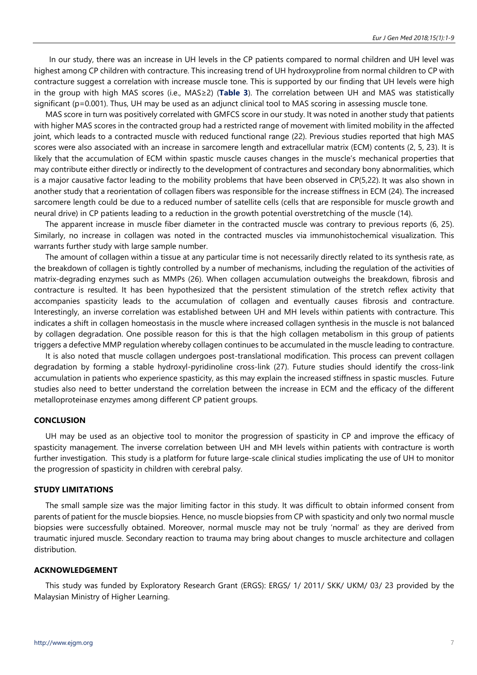In our study, there was an increase in UH levels in the CP patients compared to normal children and UH level was highest among CP children with contracture. This increasing trend of UH hydroxyproline from normal children to CP with contracture suggest a correlation with increase muscle tone. This is supported by our finding that UH levels were high in the group with high MAS scores (i.e., MAS≥2) (**Table 3**). The correlation between UH and MAS was statistically significant (p=0.001). Thus, UH may be used as an adjunct clinical tool to MAS scoring in assessing muscle tone.

MAS score in turn was positively correlated with GMFCS score in our study. It was noted in another study that patients with higher MAS scores in the contracted group had a restricted range of movement with limited mobility in the affected joint, which leads to a contracted muscle with reduced functional range (22). Previous studies reported that high MAS scores were also associated with an increase in sarcomere length and extracellular matrix (ECM) contents (2, 5, 23). It is likely that the accumulation of ECM within spastic muscle causes changes in the muscle's mechanical properties that may contribute either directly or indirectly to the development of contractures and secondary bony abnormalities, which is a major causative factor leading to the mobility problems that have been observed in CP(5,22). It was also shown in another study that a reorientation of collagen fibers was responsible for the increase stiffness in ECM (24). The increased sarcomere length could be due to a reduced number of satellite cells (cells that are responsible for muscle growth and neural drive) in CP patients leading to a reduction in the growth potential overstretching of the muscle (14).

The apparent increase in muscle fiber diameter in the contracted muscle was contrary to previous reports (6, 25). Similarly, no increase in collagen was noted in the contracted muscles via immunohistochemical visualization. This warrants further study with large sample number.

The amount of collagen within a tissue at any particular time is not necessarily directly related to its synthesis rate, as the breakdown of collagen is tightly controlled by a number of mechanisms, including the regulation of the activities of matrix-degrading enzymes such as MMPs (26). When collagen accumulation outweighs the breakdown, fibrosis and contracture is resulted. It has been hypothesized that the persistent stimulation of the stretch reflex activity that accompanies spasticity leads to the accumulation of collagen and eventually causes fibrosis and contracture. Interestingly, an inverse correlation was established between UH and MH levels within patients with contracture. This indicates a shift in collagen homeostasis in the muscle where increased collagen synthesis in the muscle is not balanced by collagen degradation. One possible reason for this is that the high collagen metabolism in this group of patients triggers a defective MMP regulation whereby collagen continues to be accumulated in the muscle leading to contracture.

It is also noted that muscle collagen undergoes post-translational modification. This process can prevent collagen degradation by forming a stable hydroxyl-pyridinoline cross-link (27). Future studies should identify the cross-link accumulation in patients who experience spasticity, as this may explain the increased stiffness in spastic muscles. Future studies also need to better understand the correlation between the increase in ECM and the efficacy of the different metalloproteinase enzymes among different CP patient groups.

# **CONCLUSION**

UH may be used as an objective tool to monitor the progression of spasticity in CP and improve the efficacy of spasticity management. The inverse correlation between UH and MH levels within patients with contracture is worth further investigation. This study is a platform for future large-scale clinical studies implicating the use of UH to monitor the progression of spasticity in children with cerebral palsy.

#### **STUDY LIMITATIONS**

The small sample size was the major limiting factor in this study. It was difficult to obtain informed consent from parents of patient for the muscle biopsies. Hence, no muscle biopsies from CP with spasticity and only two normal muscle biopsies were successfully obtained. Moreover, normal muscle may not be truly 'normal' as they are derived from traumatic injured muscle. Secondary reaction to trauma may bring about changes to muscle architecture and collagen distribution.

### **ACKNOWLEDGEMENT**

This study was funded by Exploratory Research Grant (ERGS): ERGS/ 1/ 2011/ SKK/ UKM/ 03/ 23 provided by the Malaysian Ministry of Higher Learning.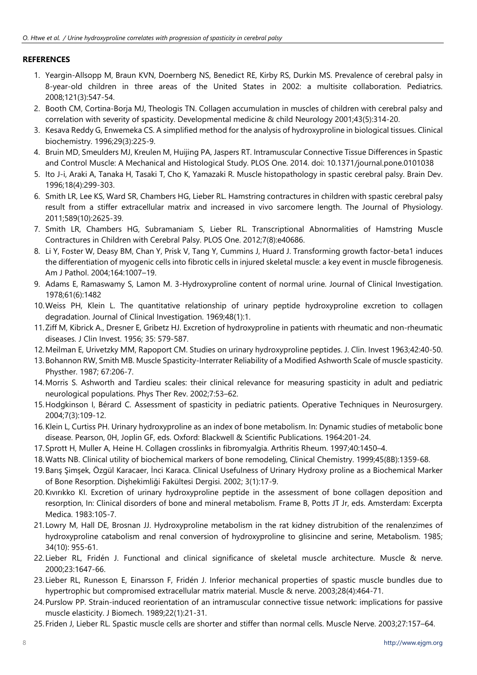# **REFERENCES**

- 1. Yeargin-Allsopp M, Braun KVN, Doernberg NS, Benedict RE, Kirby RS, Durkin MS. Prevalence of cerebral palsy in 8-year-old children in three areas of the United States in 2002: a multisite collaboration. Pediatrics. 2008;121(3):547-54.
- 2. Booth CM, Cortina-Borja MJ, Theologis TN. Collagen accumulation in muscles of children with cerebral palsy and correlation with severity of spasticity. Developmental medicine & child Neurology 2001;43(5):314-20.
- 3. Kesava Reddy G, Enwemeka CS. A simplified method for the analysis of hydroxyproline in biological tissues. Clinical biochemistry. 1996;29(3):225-9.
- 4. Bruin MD, Smeulders MJ, Kreulen M, Huijing PA, Jaspers RT. Intramuscular Connective Tissue Differences in Spastic and Control Muscle: A Mechanical and Histological Study. PLOS One. 2014. doi: 10.1371/journal.pone.0101038
- 5. Ito J-i, Araki A, Tanaka H, Tasaki T, Cho K, Yamazaki R. Muscle histopathology in spastic cerebral palsy. Brain Dev. 1996;18(4):299-303.
- 6. Smith LR, Lee KS, Ward SR, Chambers HG, Lieber RL. Hamstring contractures in children with spastic cerebral palsy result from a stiffer extracellular matrix and increased in vivo sarcomere length. The Journal of Physiology. 2011;589(10):2625-39.
- 7. Smith LR, Chambers HG, Subramaniam S, Lieber RL. Transcriptional Abnormalities of Hamstring Muscle Contractures in Children with Cerebral Palsy. PLOS One. 2012;7(8):e40686.
- 8. Li Y, Foster W, Deasy BM, Chan Y, Prisk V, Tang Y, Cummins J, Huard J. Transforming growth factor-beta1 induces the differentiation of myogenic cells into fibrotic cells in injured skeletal muscle: a key event in muscle fibrogenesis. Am J Pathol. 2004;164:1007–19.
- 9. Adams E, Ramaswamy S, Lamon M. 3-Hydroxyproline content of normal urine. Journal of Clinical Investigation. 1978;61(6):1482
- 10.Weiss PH, Klein L. The quantitative relationship of urinary peptide hydroxyproline excretion to collagen degradation. Journal of Clinical Investigation. 1969;48(1):1.
- 11.Ziff M, Kibrick A., Dresner E, Gribetz HJ. Excretion of hydroxyproline in patients with rheumatic and non-rheumatic diseases. J Clin Invest. 1956; 35: 579-587.
- 12.Meilman E, Urivetzky MM, Rapoport CM. Studies on urinary hydroxyproline peptides. J. Clin. Invest 1963;42:40-50.
- 13.Bohannon RW, Smith MB. Muscle Spasticity-Interrater Reliability of a Modified Ashworth Scale of muscle spasticity. Physther. 1987; 67:206-7.
- 14.Morris S. Ashworth and Tardieu scales: their clinical relevance for measuring spasticity in adult and pediatric neurological populations. Phys Ther Rev. 2002;7:53–62.
- 15.Hodgkinson I, Bérard C. Assessment of spasticity in pediatric patients. Operative Techniques in Neurosurgery. 2004;7(3):109-12.
- 16.Klein L, Curtiss PH. Urinary hydroxyproline as an index of bone metabolism. In: Dynamic studies of metabolic bone disease. Pearson, 0H, Joplin GF, eds. Oxford: Blackwell & Scientific Publications. 1964:201-24.
- 17.Sprott H, Muller A, Heine H. Collagen crosslinks in fibromyalgia. Arthritis Rheum. 1997;40:1450–4.
- 18.Watts NB. Clinical utility of biochemical markers of bone remodeling, Clinical Chemistry. 1999;45(8B):1359-68.
- 19.Barış Şimşek, Özgül Karacaer, İnci Karaca. Clinical Usefulness of Urinary Hydroxy proline as a Biochemical Marker of Bone Resorption. Dişhekimliği Fakültesi Dergisi. 2002; 3(1):17-9.
- 20.Kıvırıkko KI. Excretion of urinary hydroxyproline peptide in the assessment of bone collagen deposition and resorption, In: Clinical disorders of bone and mineral metabolism. Frame B, Potts JT Jr, eds. Amsterdam: Excerpta Medica. 1983:105-7.
- 21. Lowry M, Hall DE, Brosnan JJ. Hydroxyproline metabolism in the rat kidney distrubition of the renalenzimes of hydroxyproline catabolism and renal conversion of hydroxyproline to glisincine and serine, Metabolism. 1985; 34(10): 955-61.
- 22. Lieber RL, Fridén J. Functional and clinical significance of skeletal muscle architecture. Muscle & nerve. 2000;23:1647-66.
- 23. Lieber RL, Runesson E, Einarsson F, Fridén J. Inferior mechanical properties of spastic muscle bundles due to hypertrophic but compromised extracellular matrix material. Muscle & nerve. 2003;28(4):464-71.
- 24.Purslow PP. Strain-induced reorientation of an intramuscular connective tissue network: implications for passive muscle elasticity. J Biomech. 1989;22(1):21-31.
- 25.Friden J, Lieber RL. Spastic muscle cells are shorter and stiffer than normal cells. Muscle Nerve. 2003;27:157–64.